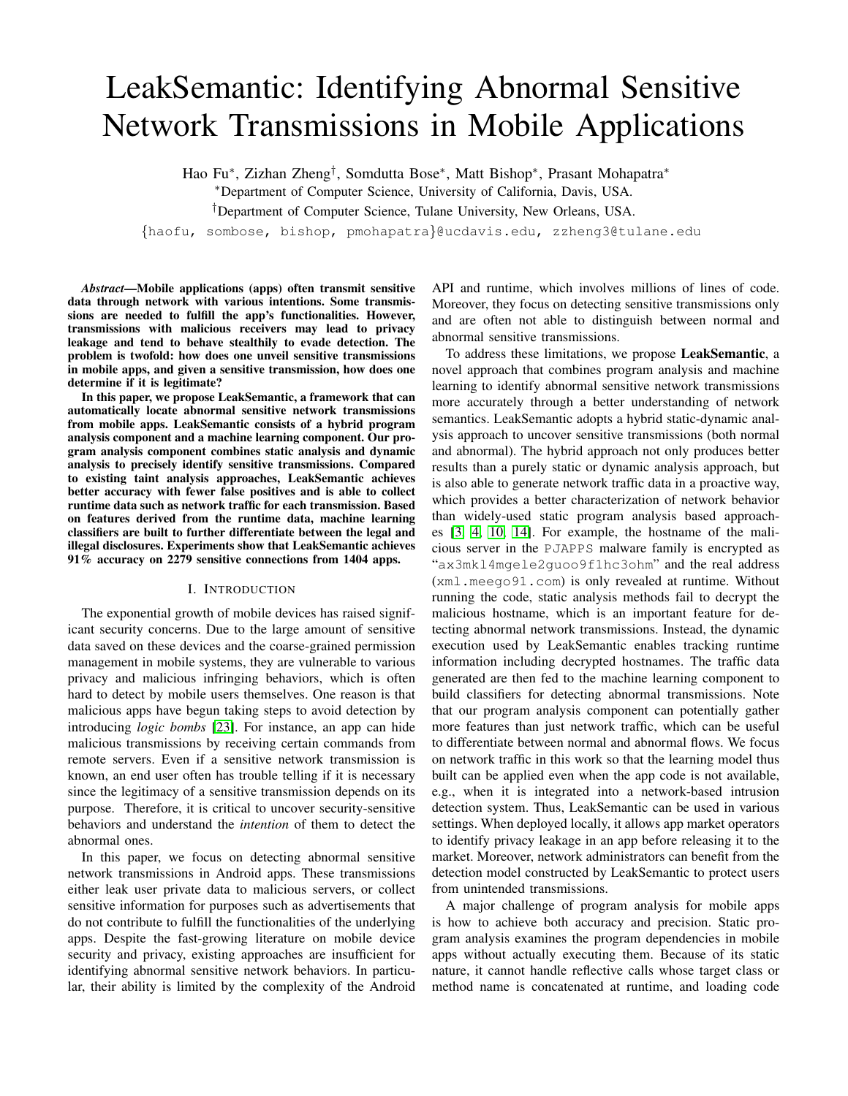# LeakSemantic: Identifying Abnormal Sensitive Network Transmissions in Mobile Applications

Hao Fu<sup>∗</sup> , Zizhan Zheng† , Somdutta Bose<sup>∗</sup> , Matt Bishop<sup>∗</sup> , Prasant Mohapatra<sup>∗</sup>

<sup>∗</sup>Department of Computer Science, University of California, Davis, USA.

†Department of Computer Science, Tulane University, New Orleans, USA.

{haofu, sombose, bishop, pmohapatra}@ucdavis.edu, zzheng3@tulane.edu

*Abstract*—Mobile applications (apps) often transmit sensitive data through network with various intentions. Some transmissions are needed to fulfill the app's functionalities. However, transmissions with malicious receivers may lead to privacy leakage and tend to behave stealthily to evade detection. The problem is twofold: how does one unveil sensitive transmissions in mobile apps, and given a sensitive transmission, how does one determine if it is legitimate?

In this paper, we propose LeakSemantic, a framework that can automatically locate abnormal sensitive network transmissions from mobile apps. LeakSemantic consists of a hybrid program analysis component and a machine learning component. Our program analysis component combines static analysis and dynamic analysis to precisely identify sensitive transmissions. Compared to existing taint analysis approaches, LeakSemantic achieves better accuracy with fewer false positives and is able to collect runtime data such as network traffic for each transmission. Based on features derived from the runtime data, machine learning classifiers are built to further differentiate between the legal and illegal disclosures. Experiments show that LeakSemantic achieves 91% accuracy on 2279 sensitive connections from 1404 apps.

#### I. INTRODUCTION

<span id="page-0-0"></span>The exponential growth of mobile devices has raised significant security concerns. Due to the large amount of sensitive data saved on these devices and the coarse-grained permission management in mobile systems, they are vulnerable to various privacy and malicious infringing behaviors, which is often hard to detect by mobile users themselves. One reason is that malicious apps have begun taking steps to avoid detection by introducing *logic bombs* [\[23\]](#page-8-0). For instance, an app can hide malicious transmissions by receiving certain commands from remote servers. Even if a sensitive network transmission is known, an end user often has trouble telling if it is necessary since the legitimacy of a sensitive transmission depends on its purpose. Therefore, it is critical to uncover security-sensitive behaviors and understand the *intention* of them to detect the abnormal ones.

In this paper, we focus on detecting abnormal sensitive network transmissions in Android apps. These transmissions either leak user private data to malicious servers, or collect sensitive information for purposes such as advertisements that do not contribute to fulfill the functionalities of the underlying apps. Despite the fast-growing literature on mobile device security and privacy, existing approaches are insufficient for identifying abnormal sensitive network behaviors. In particular, their ability is limited by the complexity of the Android

API and runtime, which involves millions of lines of code. Moreover, they focus on detecting sensitive transmissions only and are often not able to distinguish between normal and abnormal sensitive transmissions.

To address these limitations, we propose LeakSemantic, a novel approach that combines program analysis and machine learning to identify abnormal sensitive network transmissions more accurately through a better understanding of network semantics. LeakSemantic adopts a hybrid static-dynamic analysis approach to uncover sensitive transmissions (both normal and abnormal). The hybrid approach not only produces better results than a purely static or dynamic analysis approach, but is also able to generate network traffic data in a proactive way, which provides a better characterization of network behavior than widely-used static program analysis based approaches [\[3,](#page-8-1) [4,](#page-8-2) [10,](#page-8-3) [14\]](#page-8-4). For example, the hostname of the malicious server in the PJAPPS malware family is encrypted as "ax3mkl4mgele2guoo9f1hc3ohm" and the real address (xml.meego91.com) is only revealed at runtime. Without running the code, static analysis methods fail to decrypt the malicious hostname, which is an important feature for detecting abnormal network transmissions. Instead, the dynamic execution used by LeakSemantic enables tracking runtime information including decrypted hostnames. The traffic data generated are then fed to the machine learning component to build classifiers for detecting abnormal transmissions. Note that our program analysis component can potentially gather more features than just network traffic, which can be useful to differentiate between normal and abnormal flows. We focus on network traffic in this work so that the learning model thus built can be applied even when the app code is not available, e.g., when it is integrated into a network-based intrusion detection system. Thus, LeakSemantic can be used in various settings. When deployed locally, it allows app market operators to identify privacy leakage in an app before releasing it to the market. Moreover, network administrators can benefit from the detection model constructed by LeakSemantic to protect users from unintended transmissions.

A major challenge of program analysis for mobile apps is how to achieve both accuracy and precision. Static program analysis examines the program dependencies in mobile apps without actually executing them. Because of its static nature, it cannot handle reflective calls whose target class or method name is concatenated at runtime, and loading code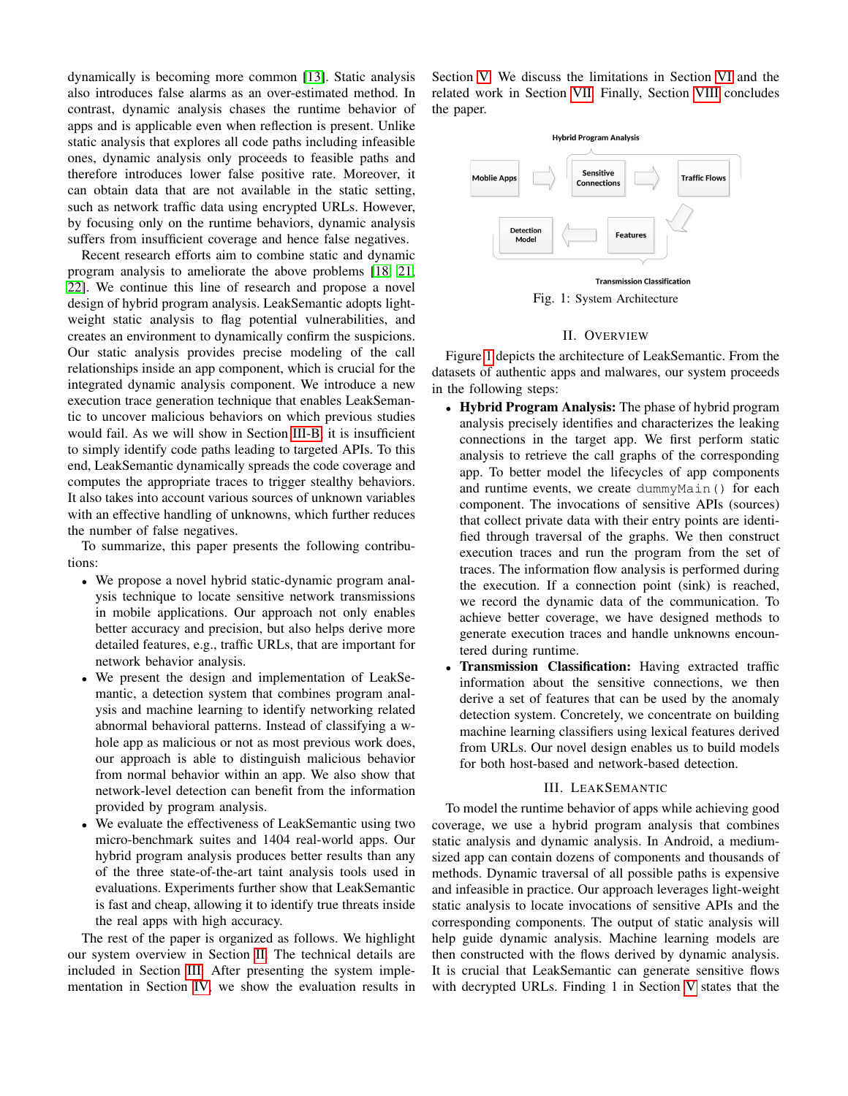dynamically is becoming more common [\[13\]](#page-8-5). Static analysis also introduces false alarms as an over-estimated method. In contrast, dynamic analysis chases the runtime behavior of apps and is applicable even when reflection is present. Unlike static analysis that explores all code paths including infeasible ones, dynamic analysis only proceeds to feasible paths and therefore introduces lower false positive rate. Moreover, it can obtain data that are not available in the static setting, such as network traffic data using encrypted URLs. However, by focusing only on the runtime behaviors, dynamic analysis suffers from insufficient coverage and hence false negatives.

Recent research efforts aim to combine static and dynamic program analysis to ameliorate the above problems [\[18,](#page-8-6) [21,](#page-8-7) [22\]](#page-8-8). We continue this line of research and propose a novel design of hybrid program analysis. LeakSemantic adopts lightweight static analysis to flag potential vulnerabilities, and creates an environment to dynamically confirm the suspicions. Our static analysis provides precise modeling of the call relationships inside an app component, which is crucial for the integrated dynamic analysis component. We introduce a new execution trace generation technique that enables LeakSemantic to uncover malicious behaviors on which previous studies would fail. As we will show in Section [III-B,](#page-2-0) it is insufficient to simply identify code paths leading to targeted APIs. To this end, LeakSemantic dynamically spreads the code coverage and computes the appropriate traces to trigger stealthy behaviors. It also takes into account various sources of unknown variables with an effective handling of unknowns, which further reduces the number of false negatives.

To summarize, this paper presents the following contributions:

- We propose a novel hybrid static-dynamic program analysis technique to locate sensitive network transmissions in mobile applications. Our approach not only enables better accuracy and precision, but also helps derive more detailed features, e.g., traffic URLs, that are important for network behavior analysis.
- We present the design and implementation of LeakSemantic, a detection system that combines program analysis and machine learning to identify networking related abnormal behavioral patterns. Instead of classifying a whole app as malicious or not as most previous work does, our approach is able to distinguish malicious behavior from normal behavior within an app. We also show that network-level detection can benefit from the information provided by program analysis.
- We evaluate the effectiveness of LeakSemantic using two micro-benchmark suites and 1404 real-world apps. Our hybrid program analysis produces better results than any of the three state-of-the-art taint analysis tools used in evaluations. Experiments further show that LeakSemantic is fast and cheap, allowing it to identify true threats inside the real apps with high accuracy.

The rest of the paper is organized as follows. We highlight our system overview in Section [II.](#page-1-0) The technical details are included in Section [III.](#page-1-1) After presenting the system implementation in Section [IV,](#page-4-0) we show the evaluation results in

Section [V.](#page-5-0) We discuss the limitations in Section [VI](#page-7-0) and the related work in Section [VII.](#page-7-1) Finally, Section [VIII](#page-8-9) concludes the paper.

<span id="page-1-2"></span>

#### II. OVERVIEW

<span id="page-1-0"></span>Figure [1](#page-1-2) depicts the architecture of LeakSemantic. From the datasets of authentic apps and malwares, our system proceeds in the following steps:

- Hybrid Program Analysis: The phase of hybrid program analysis precisely identifies and characterizes the leaking connections in the target app. We first perform static analysis to retrieve the call graphs of the corresponding app. To better model the lifecycles of app components and runtime events, we create dummyMain() for each component. The invocations of sensitive APIs (sources) that collect private data with their entry points are identified through traversal of the graphs. We then construct execution traces and run the program from the set of traces. The information flow analysis is performed during the execution. If a connection point (sink) is reached, we record the dynamic data of the communication. To achieve better coverage, we have designed methods to generate execution traces and handle unknowns encountered during runtime.
- Transmission Classification: Having extracted traffic information about the sensitive connections, we then derive a set of features that can be used by the anomaly detection system. Concretely, we concentrate on building machine learning classifiers using lexical features derived from URLs. Our novel design enables us to build models for both host-based and network-based detection.

#### III. LEAKSEMANTIC

<span id="page-1-1"></span>To model the runtime behavior of apps while achieving good coverage, we use a hybrid program analysis that combines static analysis and dynamic analysis. In Android, a mediumsized app can contain dozens of components and thousands of methods. Dynamic traversal of all possible paths is expensive and infeasible in practice. Our approach leverages light-weight static analysis to locate invocations of sensitive APIs and the corresponding components. The output of static analysis will help guide dynamic analysis. Machine learning models are then constructed with the flows derived by dynamic analysis. It is crucial that LeakSemantic can generate sensitive flows with decrypted URLs. Finding 1 in Section [V](#page-5-0) states that the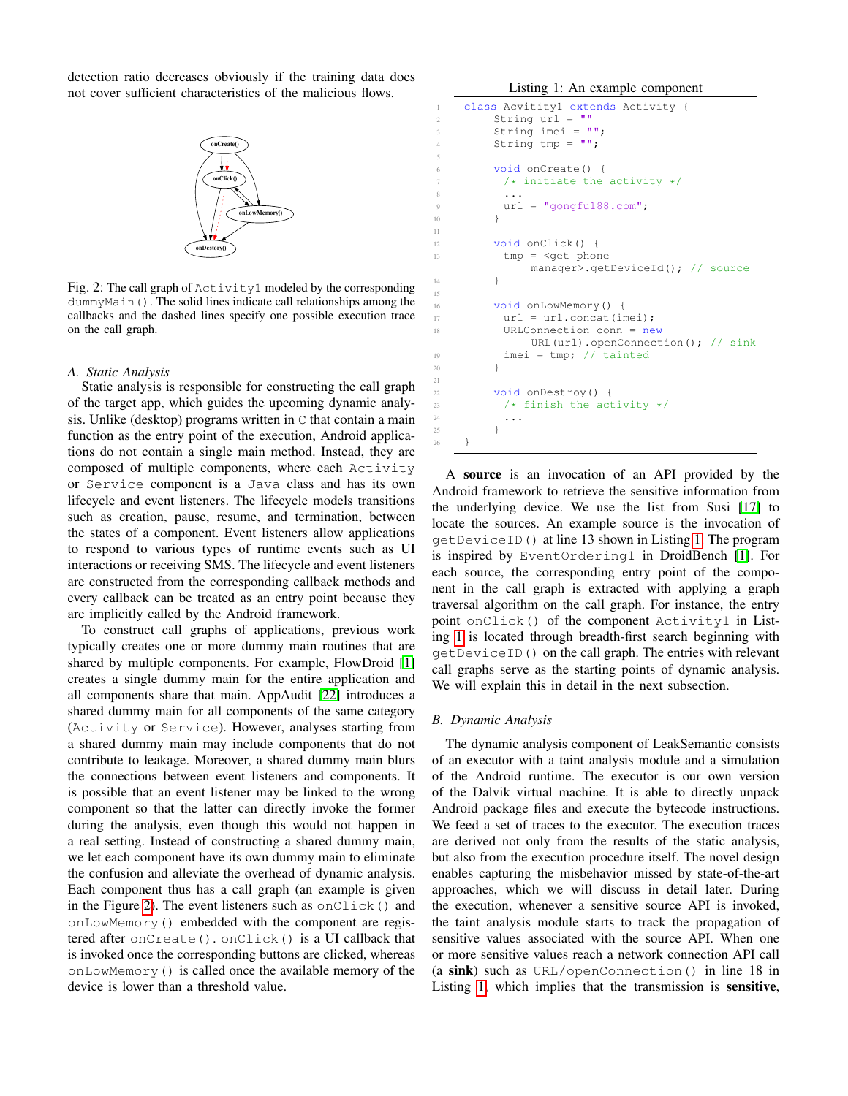<span id="page-2-1"></span>detection ratio decreases obviously if the training data does not cover sufficient characteristics of the malicious flows.



Fig. 2: The call graph of Activity1 modeled by the corresponding dummyMain(). The solid lines indicate call relationships among the callbacks and the dashed lines specify one possible execution trace on the call graph.

### <span id="page-2-3"></span>*A. Static Analysis*

Static analysis is responsible for constructing the call graph of the target app, which guides the upcoming dynamic analysis. Unlike (desktop) programs written in  $\mathfrak C$  that contain a main function as the entry point of the execution, Android applications do not contain a single main method. Instead, they are composed of multiple components, where each Activity or Service component is a Java class and has its own lifecycle and event listeners. The lifecycle models transitions such as creation, pause, resume, and termination, between the states of a component. Event listeners allow applications to respond to various types of runtime events such as UI interactions or receiving SMS. The lifecycle and event listeners are constructed from the corresponding callback methods and every callback can be treated as an entry point because they are implicitly called by the Android framework.

To construct call graphs of applications, previous work typically creates one or more dummy main routines that are shared by multiple components. For example, FlowDroid [\[1\]](#page-8-10) creates a single dummy main for the entire application and all components share that main. AppAudit [\[22\]](#page-8-8) introduces a shared dummy main for all components of the same category (Activity or Service). However, analyses starting from a shared dummy main may include components that do not contribute to leakage. Moreover, a shared dummy main blurs the connections between event listeners and components. It is possible that an event listener may be linked to the wrong component so that the latter can directly invoke the former during the analysis, even though this would not happen in a real setting. Instead of constructing a shared dummy main, we let each component have its own dummy main to eliminate the confusion and alleviate the overhead of dynamic analysis. Each component thus has a call graph (an example is given in the Figure [2\)](#page-2-1). The event listeners such as onClick() and onLowMemory() embedded with the component are registered after onCreate(). onClick() is a UI callback that is invoked once the corresponding buttons are clicked, whereas onLowMemory() is called once the available memory of the device is lower than a threshold value.

Listing 1: An example component

```
class Acvitity1 extends Activity {
2 String url = ""
3 String imei = "";
4 String tmp = "";
6 void onCreate() {
7 /* initiate the activity */
8 ...
9 url = "gongfu188.com";
10 }
12 void onClick() {
13 tmp = \leqget phone
           manager>.getDeviceId(); // source
14 }
16 void onLowMemory() {
17 url = url.concat(imei);
18 URLConnection conn = new
           URL(url).openConnection(); // sink
19 imei = \text{tmp}; // tainted
20 }
22 void onDestroy() {
23 /* finish the activity */
24 ...
25 }
26 \}
```
A source is an invocation of an API provided by the Android framework to retrieve the sensitive information from the underlying device. We use the list from Susi [\[17\]](#page-8-11) to locate the sources. An example source is the invocation of getDeviceID() at line 13 shown in Listing [1.](#page-2-2) The program is inspired by EventOrdering1 in DroidBench [\[1\]](#page-8-10). For each source, the corresponding entry point of the component in the call graph is extracted with applying a graph traversal algorithm on the call graph. For instance, the entry point onClick() of the component Activity1 in Listing [1](#page-2-2) is located through breadth-first search beginning with getDeviceID() on the call graph. The entries with relevant call graphs serve as the starting points of dynamic analysis. We will explain this in detail in the next subsection.

#### <span id="page-2-0"></span>*B. Dynamic Analysis*

5

11

15

21

The dynamic analysis component of LeakSemantic consists of an executor with a taint analysis module and a simulation of the Android runtime. The executor is our own version of the Dalvik virtual machine. It is able to directly unpack Android package files and execute the bytecode instructions. We feed a set of traces to the executor. The execution traces are derived not only from the results of the static analysis, but also from the execution procedure itself. The novel design enables capturing the misbehavior missed by state-of-the-art approaches, which we will discuss in detail later. During the execution, whenever a sensitive source API is invoked, the taint analysis module starts to track the propagation of sensitive values associated with the source API. When one or more sensitive values reach a network connection API call (a sink) such as URL/openConnection() in line 18 in Listing [1,](#page-2-2) which implies that the transmission is sensitive,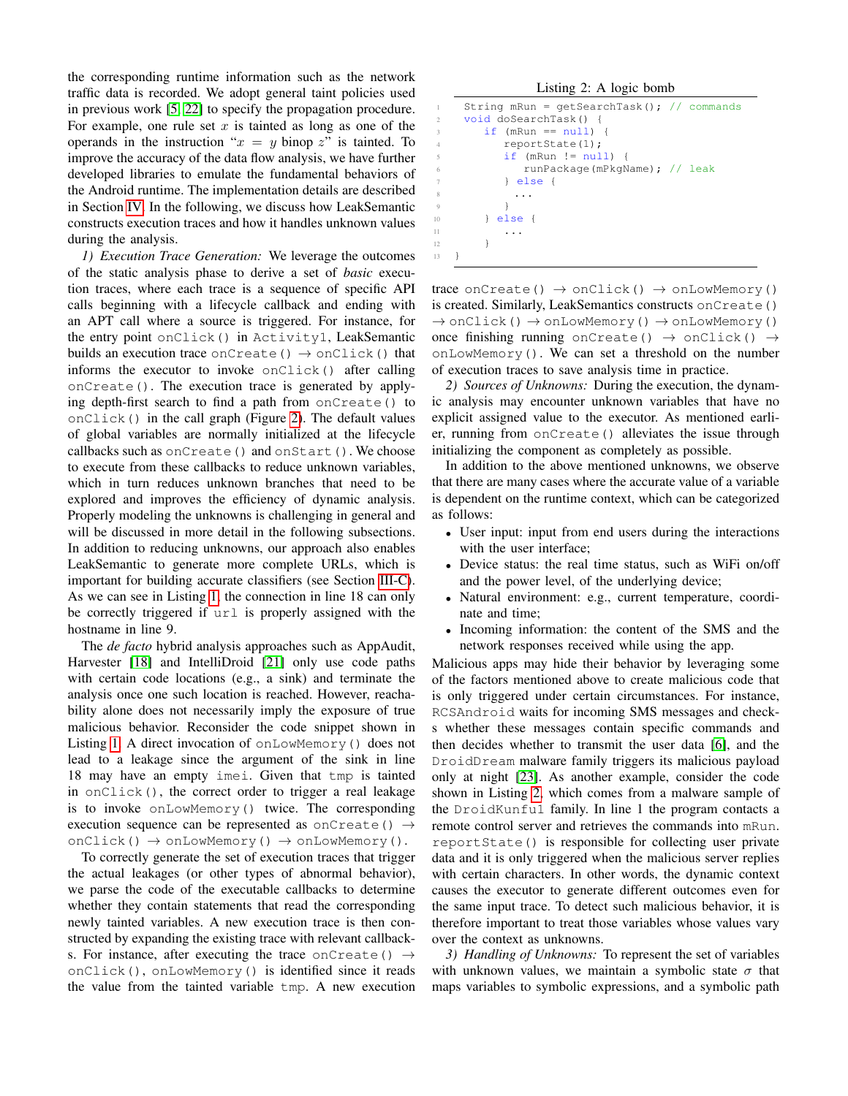the corresponding runtime information such as the network traffic data is recorded. We adopt general taint policies used in previous work [\[5,](#page-8-12) [22\]](#page-8-8) to specify the propagation procedure. For example, one rule set  $x$  is tainted as long as one of the operands in the instruction " $x = y$  binop z" is tainted. To improve the accuracy of the data flow analysis, we have further developed libraries to emulate the fundamental behaviors of the Android runtime. The implementation details are described in Section [IV.](#page-4-0) In the following, we discuss how LeakSemantic constructs execution traces and how it handles unknown values during the analysis.

*1) Execution Trace Generation:* We leverage the outcomes of the static analysis phase to derive a set of *basic* execution traces, where each trace is a sequence of specific API calls beginning with a lifecycle callback and ending with an APT call where a source is triggered. For instance, for the entry point onClick() in Activity1, LeakSemantic builds an execution trace onCreate()  $\rightarrow$  onClick() that informs the executor to invoke onClick() after calling onCreate(). The execution trace is generated by applying depth-first search to find a path from onCreate() to onClick() in the call graph (Figure [2\)](#page-2-1). The default values of global variables are normally initialized at the lifecycle callbacks such as onCreate() and onStart(). We choose to execute from these callbacks to reduce unknown variables, which in turn reduces unknown branches that need to be explored and improves the efficiency of dynamic analysis. Properly modeling the unknowns is challenging in general and will be discussed in more detail in the following subsections. In addition to reducing unknowns, our approach also enables LeakSemantic to generate more complete URLs, which is important for building accurate classifiers (see Section [III-C\)](#page-4-1). As we can see in Listing [1,](#page-2-2) the connection in line 18 can only be correctly triggered if url is properly assigned with the hostname in line 9.

The *de facto* hybrid analysis approaches such as AppAudit, Harvester [\[18\]](#page-8-6) and IntelliDroid [\[21\]](#page-8-7) only use code paths with certain code locations (e.g., a sink) and terminate the analysis once one such location is reached. However, reachability alone does not necessarily imply the exposure of true malicious behavior. Reconsider the code snippet shown in Listing [1.](#page-2-2) A direct invocation of onLowMemory() does not lead to a leakage since the argument of the sink in line 18 may have an empty imei. Given that tmp is tainted in onClick(), the correct order to trigger a real leakage is to invoke onLowMemory() twice. The corresponding execution sequence can be represented as onCreate()  $\rightarrow$  $onClick() \rightarrow onLowMemory() \rightarrow onLowMemory()$ .

To correctly generate the set of execution traces that trigger the actual leakages (or other types of abnormal behavior), we parse the code of the executable callbacks to determine whether they contain statements that read the corresponding newly tainted variables. A new execution trace is then constructed by expanding the existing trace with relevant callbacks. For instance, after executing the trace onCreate()  $\rightarrow$ onClick(), onLowMemory() is identified since it reads the value from the tainted variable tmp. A new execution

Listing 2: A logic bomb

<span id="page-3-0"></span>

|                | String mRun = $qetSearchTask()$ ; // commands |
|----------------|-----------------------------------------------|
| 2              | void doSearchTask() {                         |
| 3              | if (mRun == $null)$ {                         |
| $\overline{4}$ | reportState(1);                               |
| -5             | if $(mRun := null)$ {                         |
| -6             | runPackage(mPkgName); // leak                 |
| $\tau$         | } else {                                      |
| -8             |                                               |
| Q              |                                               |
| 10             | } else {                                      |
| 11             |                                               |
| 12             |                                               |
| 13             |                                               |

<sup>13</sup> }

trace onCreate()  $\rightarrow$  onClick()  $\rightarrow$  onLowMemory() is created. Similarly, LeakSemantics constructs onCreate()  $\rightarrow$  onClick()  $\rightarrow$  onLowMemory()  $\rightarrow$  onLowMemory() once finishing running onCreate()  $\rightarrow$  onClick()  $\rightarrow$ onLowMemory(). We can set a threshold on the number of execution traces to save analysis time in practice.

*2) Sources of Unknowns:* During the execution, the dynamic analysis may encounter unknown variables that have no explicit assigned value to the executor. As mentioned earlier, running from onCreate() alleviates the issue through initializing the component as completely as possible.

In addition to the above mentioned unknowns, we observe that there are many cases where the accurate value of a variable is dependent on the runtime context, which can be categorized as follows:

- User input: input from end users during the interactions with the user interface;
- Device status: the real time status, such as WiFi on/off and the power level, of the underlying device;
- Natural environment: e.g., current temperature, coordinate and time;
- Incoming information: the content of the SMS and the network responses received while using the app.

Malicious apps may hide their behavior by leveraging some of the factors mentioned above to create malicious code that is only triggered under certain circumstances. For instance, RCSAndroid waits for incoming SMS messages and checks whether these messages contain specific commands and then decides whether to transmit the user data [\[6\]](#page-8-13), and the DroidDream malware family triggers its malicious payload only at night [\[23\]](#page-8-0). As another example, consider the code shown in Listing [2,](#page-3-0) which comes from a malware sample of the DroidKunfu1 family. In line 1 the program contacts a remote control server and retrieves the commands into mRun. reportState() is responsible for collecting user private data and it is only triggered when the malicious server replies with certain characters. In other words, the dynamic context causes the executor to generate different outcomes even for the same input trace. To detect such malicious behavior, it is therefore important to treat those variables whose values vary over the context as unknowns.

*3) Handling of Unknowns:* To represent the set of variables with unknown values, we maintain a symbolic state  $\sigma$  that maps variables to symbolic expressions, and a symbolic path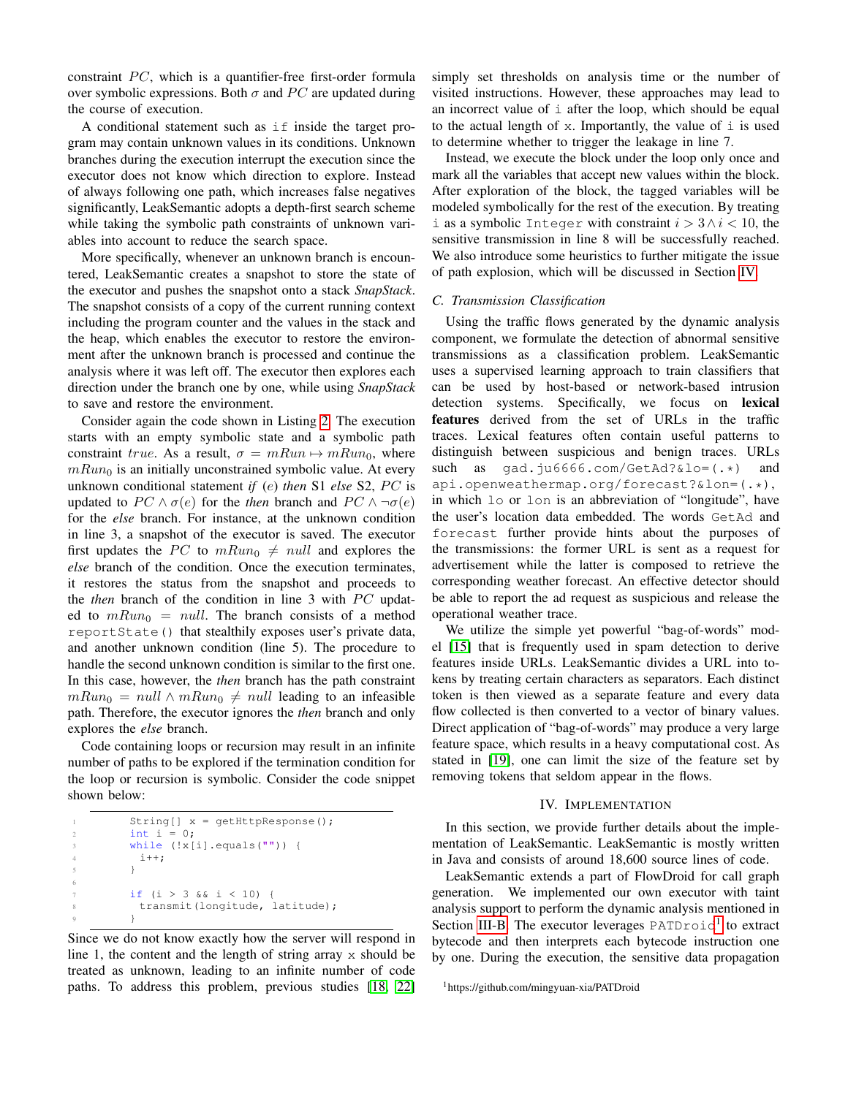constraint  $PC$ , which is a quantifier-free first-order formula over symbolic expressions. Both  $\sigma$  and PC are updated during the course of execution.

A conditional statement such as if inside the target program may contain unknown values in its conditions. Unknown branches during the execution interrupt the execution since the executor does not know which direction to explore. Instead of always following one path, which increases false negatives significantly, LeakSemantic adopts a depth-first search scheme while taking the symbolic path constraints of unknown variables into account to reduce the search space.

More specifically, whenever an unknown branch is encountered, LeakSemantic creates a snapshot to store the state of the executor and pushes the snapshot onto a stack *SnapStack*. The snapshot consists of a copy of the current running context including the program counter and the values in the stack and the heap, which enables the executor to restore the environment after the unknown branch is processed and continue the analysis where it was left off. The executor then explores each direction under the branch one by one, while using *SnapStack* to save and restore the environment.

Consider again the code shown in Listing [2.](#page-3-0) The execution starts with an empty symbolic state and a symbolic path constraint true. As a result,  $\sigma = mRun \rightarrow mRun_0$ , where  $mRun_0$  is an initially unconstrained symbolic value. At every unknown conditional statement *if* (e) *then* S1 *else* S2, PC is updated to  $PC \wedge \sigma(e)$  for the *then* branch and  $PC \wedge \neg \sigma(e)$ for the *else* branch. For instance, at the unknown condition in line 3, a snapshot of the executor is saved. The executor first updates the PC to  $mRun_0 \neq null$  and explores the *else* branch of the condition. Once the execution terminates, it restores the status from the snapshot and proceeds to the *then* branch of the condition in line 3 with PC updated to  $mRun_0 = null$ . The branch consists of a method reportState() that stealthily exposes user's private data, and another unknown condition (line 5). The procedure to handle the second unknown condition is similar to the first one. In this case, however, the *then* branch has the path constraint  $mRun_0 = null \wedge mRun_0 \neq null$  leading to an infeasible path. Therefore, the executor ignores the *then* branch and only explores the *else* branch.

Code containing loops or recursion may result in an infinite number of paths to be explored if the termination condition for the loop or recursion is symbolic. Consider the code snippet shown below:

```
String[] x = getHttpResponse();2 int i = 0;3 while (!x[i].equals("")) {
        i++;5 }
6
       7 if (i > 3 && i < 10) {
        transmit(longitude, latitude);
9 }
```
Since we do not know exactly how the server will respond in line 1, the content and the length of string array  $x$  should be treated as unknown, leading to an infinite number of code paths. To address this problem, previous studies [\[18,](#page-8-6) [22\]](#page-8-8) simply set thresholds on analysis time or the number of visited instructions. However, these approaches may lead to an incorrect value of  $\pm$  after the loop, which should be equal to the actual length of  $x$ . Importantly, the value of  $\pm$  is used to determine whether to trigger the leakage in line 7.

Instead, we execute the block under the loop only once and mark all the variables that accept new values within the block. After exploration of the block, the tagged variables will be modeled symbolically for the rest of the execution. By treating i as a symbolic Integer with constraint  $i > 3 \land i < 10$ , the sensitive transmission in line 8 will be successfully reached. We also introduce some heuristics to further mitigate the issue of path explosion, which will be discussed in Section [IV.](#page-4-0)

#### <span id="page-4-1"></span>*C. Transmission Classification*

Using the traffic flows generated by the dynamic analysis component, we formulate the detection of abnormal sensitive transmissions as a classification problem. LeakSemantic uses a supervised learning approach to train classifiers that can be used by host-based or network-based intrusion detection systems. Specifically, we focus on lexical features derived from the set of URLs in the traffic traces. Lexical features often contain useful patterns to distinguish between suspicious and benign traces. URLs such as gad.ju6666.com/GetAd?&lo= $(x*)$  and api.openweathermap.org/forecast?&lon=(.\*), in which lo or lon is an abbreviation of "longitude", have the user's location data embedded. The words GetAd and forecast further provide hints about the purposes of the transmissions: the former URL is sent as a request for advertisement while the latter is composed to retrieve the corresponding weather forecast. An effective detector should be able to report the ad request as suspicious and release the operational weather trace.

We utilize the simple yet powerful "bag-of-words" model [\[15\]](#page-8-14) that is frequently used in spam detection to derive features inside URLs. LeakSemantic divides a URL into tokens by treating certain characters as separators. Each distinct token is then viewed as a separate feature and every data flow collected is then converted to a vector of binary values. Direct application of "bag-of-words" may produce a very large feature space, which results in a heavy computational cost. As stated in [\[19\]](#page-8-15), one can limit the size of the feature set by removing tokens that seldom appear in the flows.

#### IV. IMPLEMENTATION

<span id="page-4-0"></span>In this section, we provide further details about the implementation of LeakSemantic. LeakSemantic is mostly written in Java and consists of around 18,600 source lines of code.

LeakSemantic extends a part of FlowDroid for call graph generation. We implemented our own executor with taint analysis support to perform the dynamic analysis mentioned in Section [III-B.](#page-2-0) The executor leverages  $\text{PATDroid}^1$  $\text{PATDroid}^1$  to extract bytecode and then interprets each bytecode instruction one by one. During the execution, the sensitive data propagation

<span id="page-4-2"></span><sup>1</sup>https://github.com/mingyuan-xia/PATDroid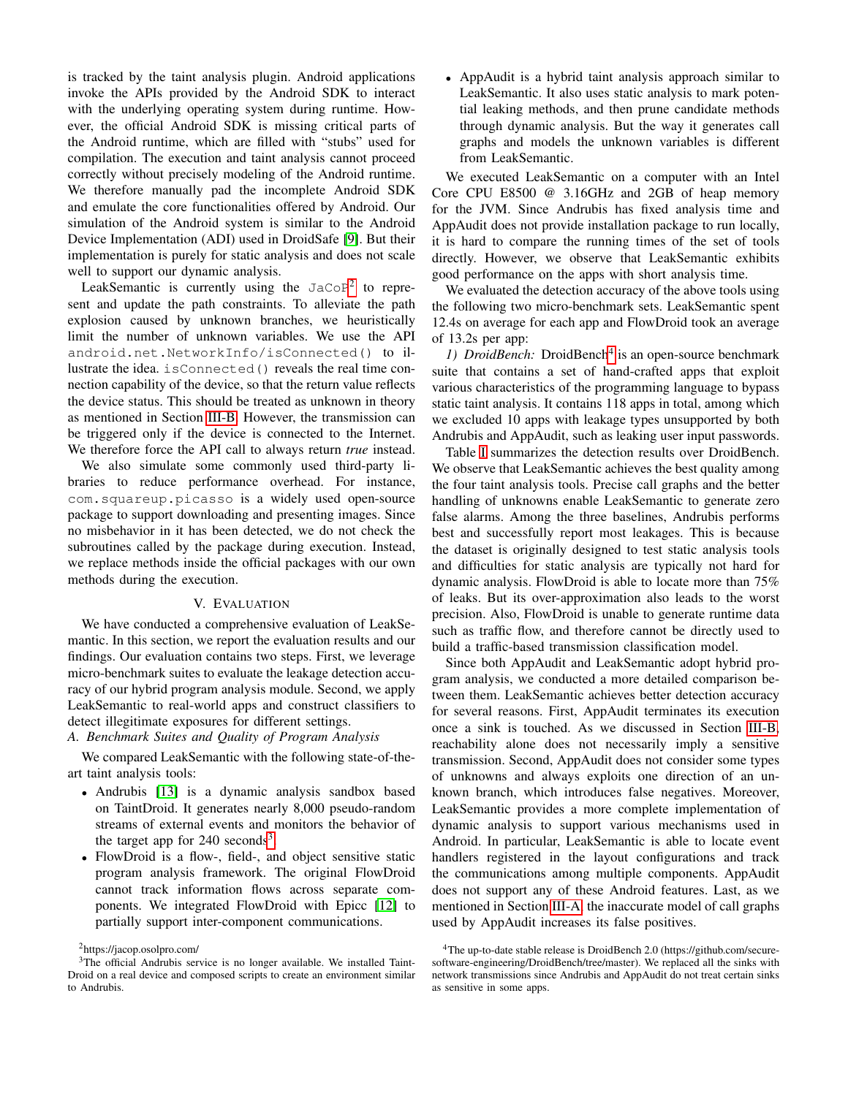is tracked by the taint analysis plugin. Android applications invoke the APIs provided by the Android SDK to interact with the underlying operating system during runtime. However, the official Android SDK is missing critical parts of the Android runtime, which are filled with "stubs" used for compilation. The execution and taint analysis cannot proceed correctly without precisely modeling of the Android runtime. We therefore manually pad the incomplete Android SDK and emulate the core functionalities offered by Android. Our simulation of the Android system is similar to the Android Device Implementation (ADI) used in DroidSafe [\[9\]](#page-8-16). But their implementation is purely for static analysis and does not scale well to support our dynamic analysis.

LeakSemantic is currently using the  $Jacop<sup>2</sup>$  $Jacop<sup>2</sup>$  $Jacop<sup>2</sup>$  to represent and update the path constraints. To alleviate the path explosion caused by unknown branches, we heuristically limit the number of unknown variables. We use the API android.net.NetworkInfo/isConnected() to illustrate the idea. isConnected() reveals the real time connection capability of the device, so that the return value reflects the device status. This should be treated as unknown in theory as mentioned in Section [III-B.](#page-2-0) However, the transmission can be triggered only if the device is connected to the Internet. We therefore force the API call to always return *true* instead.

We also simulate some commonly used third-party libraries to reduce performance overhead. For instance, com.squareup.picasso is a widely used open-source package to support downloading and presenting images. Since no misbehavior in it has been detected, we do not check the subroutines called by the package during execution. Instead, we replace methods inside the official packages with our own methods during the execution.

#### V. EVALUATION

<span id="page-5-0"></span>We have conducted a comprehensive evaluation of LeakSemantic. In this section, we report the evaluation results and our findings. Our evaluation contains two steps. First, we leverage micro-benchmark suites to evaluate the leakage detection accuracy of our hybrid program analysis module. Second, we apply LeakSemantic to real-world apps and construct classifiers to detect illegitimate exposures for different settings.

*A. Benchmark Suites and Quality of Program Analysis*

We compared LeakSemantic with the following state-of-theart taint analysis tools:

- Andrubis [\[13\]](#page-8-5) is a dynamic analysis sandbox based on TaintDroid. It generates nearly 8,000 pseudo-random streams of external events and monitors the behavior of the target app for  $240$  seconds<sup>[3](#page-5-2)</sup>.
- FlowDroid is a flow-, field-, and object sensitive static program analysis framework. The original FlowDroid cannot track information flows across separate components. We integrated FlowDroid with Epicc [\[12\]](#page-8-17) to partially support inter-component communications.

• AppAudit is a hybrid taint analysis approach similar to LeakSemantic. It also uses static analysis to mark potential leaking methods, and then prune candidate methods through dynamic analysis. But the way it generates call graphs and models the unknown variables is different from LeakSemantic.

We executed LeakSemantic on a computer with an Intel Core CPU E8500 @ 3.16GHz and 2GB of heap memory for the JVM. Since Andrubis has fixed analysis time and AppAudit does not provide installation package to run locally, it is hard to compare the running times of the set of tools directly. However, we observe that LeakSemantic exhibits good performance on the apps with short analysis time.

We evaluated the detection accuracy of the above tools using the following two micro-benchmark sets. LeakSemantic spent 12.4s on average for each app and FlowDroid took an average of 13.2s per app:

1) DroidBench: DroidBench<sup>[4](#page-5-3)</sup> is an open-source benchmark suite that contains a set of hand-crafted apps that exploit various characteristics of the programming language to bypass static taint analysis. It contains 118 apps in total, among which we excluded 10 apps with leakage types unsupported by both Andrubis and AppAudit, such as leaking user input passwords.

Table [I](#page-6-0) summarizes the detection results over DroidBench. We observe that LeakSemantic achieves the best quality among the four taint analysis tools. Precise call graphs and the better handling of unknowns enable LeakSemantic to generate zero false alarms. Among the three baselines, Andrubis performs best and successfully report most leakages. This is because the dataset is originally designed to test static analysis tools and difficulties for static analysis are typically not hard for dynamic analysis. FlowDroid is able to locate more than 75% of leaks. But its over-approximation also leads to the worst precision. Also, FlowDroid is unable to generate runtime data such as traffic flow, and therefore cannot be directly used to build a traffic-based transmission classification model.

Since both AppAudit and LeakSemantic adopt hybrid program analysis, we conducted a more detailed comparison between them. LeakSemantic achieves better detection accuracy for several reasons. First, AppAudit terminates its execution once a sink is touched. As we discussed in Section [III-B,](#page-2-0) reachability alone does not necessarily imply a sensitive transmission. Second, AppAudit does not consider some types of unknowns and always exploits one direction of an unknown branch, which introduces false negatives. Moreover, LeakSemantic provides a more complete implementation of dynamic analysis to support various mechanisms used in Android. In particular, LeakSemantic is able to locate event handlers registered in the layout configurations and track the communications among multiple components. AppAudit does not support any of these Android features. Last, as we mentioned in Section [III-A,](#page-2-3) the inaccurate model of call graphs used by AppAudit increases its false positives.

<span id="page-5-2"></span><span id="page-5-1"></span><sup>2</sup>https://jacop.osolpro.com/

<sup>&</sup>lt;sup>3</sup>The official Andrubis service is no longer available. We installed Taint-Droid on a real device and composed scripts to create an environment similar to Andrubis.

<span id="page-5-3"></span><sup>4</sup>The up-to-date stable release is DroidBench 2.0 (https://github.com/securesoftware-engineering/DroidBench/tree/master). We replaced all the sinks with network transmissions since Andrubis and AppAudit do not treat certain sinks as sensitive in some apps.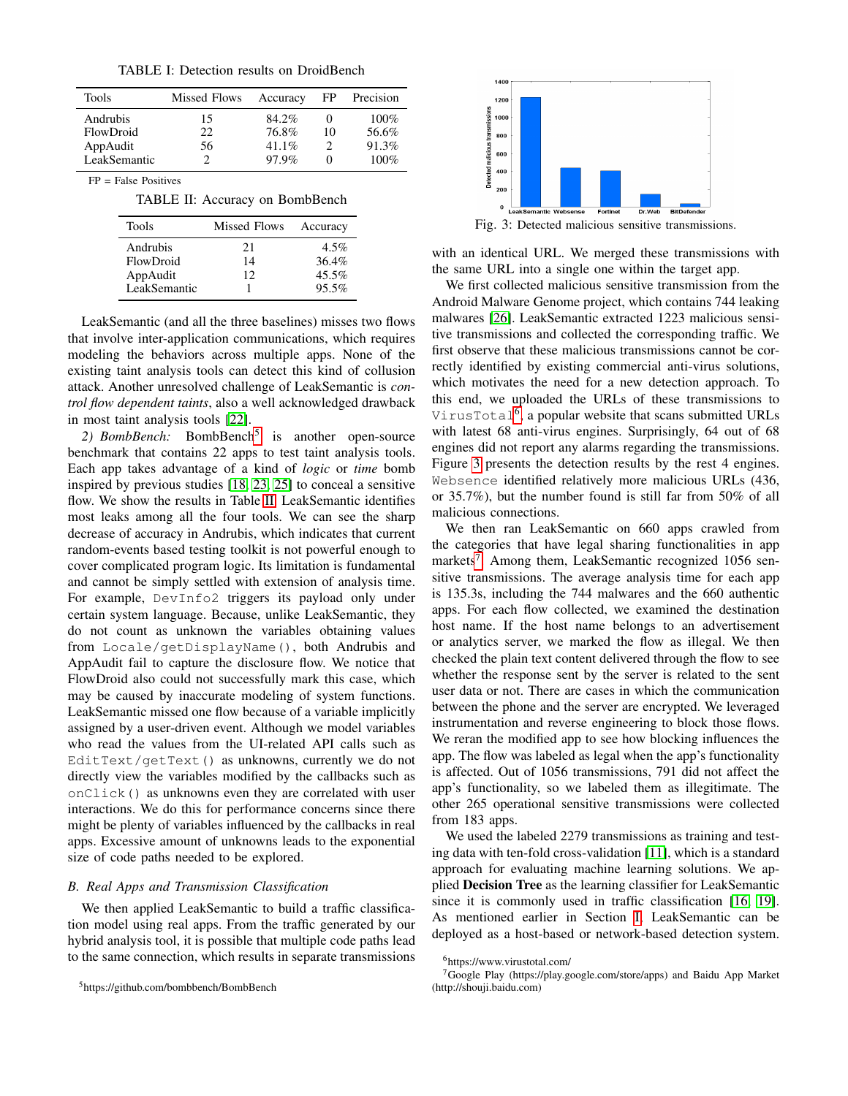TABLE I: Detection results on DroidBench

<span id="page-6-0"></span>

| <b>Tools</b> | Missed Flows | Accuracy | FP.               | Precision |
|--------------|--------------|----------|-------------------|-----------|
| Andrubis     | 15           | 84.2%    | $\mathbf{U}$      | $100\%$   |
| FlowDroid    | 22           | 76.8%    | 10                | 56.6%     |
| AppAudit     | 56           | $41.1\%$ |                   | 91.3%     |
| LeakSemantic |              | 97.9%    | $\mathbf{\Omega}$ | $100\%$   |

<span id="page-6-2"></span>FP = False Positives

TABLE II: Accuracy on BombBench

| <b>Tools</b> | Missed Flows | Accuracy |
|--------------|--------------|----------|
| Andrubis     | 21           | $4.5\%$  |
| FlowDroid    | 14           | 36.4%    |
| AppAudit     | 12           | 45.5%    |
| LeakSemantic |              | 95.5%    |

LeakSemantic (and all the three baselines) misses two flows that involve inter-application communications, which requires modeling the behaviors across multiple apps. None of the existing taint analysis tools can detect this kind of collusion attack. Another unresolved challenge of LeakSemantic is *control flow dependent taints*, also a well acknowledged drawback in most taint analysis tools [\[22\]](#page-8-8).

2) *BombBench*: BombBench<sup>[5](#page-6-1)</sup> is another open-source benchmark that contains 22 apps to test taint analysis tools. Each app takes advantage of a kind of *logic* or *time* bomb inspired by previous studies [\[18,](#page-8-6) [23,](#page-8-0) [25\]](#page-8-18) to conceal a sensitive flow. We show the results in Table [II.](#page-6-2) LeakSemantic identifies most leaks among all the four tools. We can see the sharp decrease of accuracy in Andrubis, which indicates that current random-events based testing toolkit is not powerful enough to cover complicated program logic. Its limitation is fundamental and cannot be simply settled with extension of analysis time. For example, DevInfo2 triggers its payload only under certain system language. Because, unlike LeakSemantic, they do not count as unknown the variables obtaining values from Locale/getDisplayName(), both Andrubis and AppAudit fail to capture the disclosure flow. We notice that FlowDroid also could not successfully mark this case, which may be caused by inaccurate modeling of system functions. LeakSemantic missed one flow because of a variable implicitly assigned by a user-driven event. Although we model variables who read the values from the UI-related API calls such as EditText/getText() as unknowns, currently we do not directly view the variables modified by the callbacks such as onClick() as unknowns even they are correlated with user interactions. We do this for performance concerns since there might be plenty of variables influenced by the callbacks in real apps. Excessive amount of unknowns leads to the exponential size of code paths needed to be explored.

#### *B. Real Apps and Transmission Classification*

We then applied LeakSemantic to build a traffic classification model using real apps. From the traffic generated by our hybrid analysis tool, it is possible that multiple code paths lead to the same connection, which results in separate transmissions

<span id="page-6-4"></span>

with an identical URL. We merged these transmissions with the same URL into a single one within the target app.

We first collected malicious sensitive transmission from the Android Malware Genome project, which contains 744 leaking malwares [\[26\]](#page-8-19). LeakSemantic extracted 1223 malicious sensitive transmissions and collected the corresponding traffic. We first observe that these malicious transmissions cannot be correctly identified by existing commercial anti-virus solutions, which motivates the need for a new detection approach. To this end, we uploaded the URLs of these transmissions to VirusTotal<sup>[6](#page-6-3)</sup>, a popular website that scans submitted URLs with latest 68 anti-virus engines. Surprisingly, 64 out of 68 engines did not report any alarms regarding the transmissions. Figure [3](#page-6-4) presents the detection results by the rest 4 engines. Websence identified relatively more malicious URLs (436, or 35.7%), but the number found is still far from 50% of all malicious connections.

We then ran LeakSemantic on 660 apps crawled from the categories that have legal sharing functionalities in app markets<sup>[7](#page-6-5)</sup>. Among them, LeakSemantic recognized 1056 sensitive transmissions. The average analysis time for each app is 135.3s, including the 744 malwares and the 660 authentic apps. For each flow collected, we examined the destination host name. If the host name belongs to an advertisement or analytics server, we marked the flow as illegal. We then checked the plain text content delivered through the flow to see whether the response sent by the server is related to the sent user data or not. There are cases in which the communication between the phone and the server are encrypted. We leveraged instrumentation and reverse engineering to block those flows. We reran the modified app to see how blocking influences the app. The flow was labeled as legal when the app's functionality is affected. Out of 1056 transmissions, 791 did not affect the app's functionality, so we labeled them as illegitimate. The other 265 operational sensitive transmissions were collected from 183 apps.

We used the labeled 2279 transmissions as training and testing data with ten-fold cross-validation [\[11\]](#page-8-20), which is a standard approach for evaluating machine learning solutions. We applied Decision Tree as the learning classifier for LeakSemantic since it is commonly used in traffic classification [\[16,](#page-8-21) [19\]](#page-8-15). As mentioned earlier in Section [I,](#page-0-0) LeakSemantic can be deployed as a host-based or network-based detection system.

<span id="page-6-1"></span><sup>5</sup>https://github.com/bombbench/BombBench

<span id="page-6-5"></span><span id="page-6-3"></span><sup>6</sup>https://www.virustotal.com/

 $7$ Google Play (https://play.google.com/store/apps) and Baidu App Market (http://shouji.baidu.com)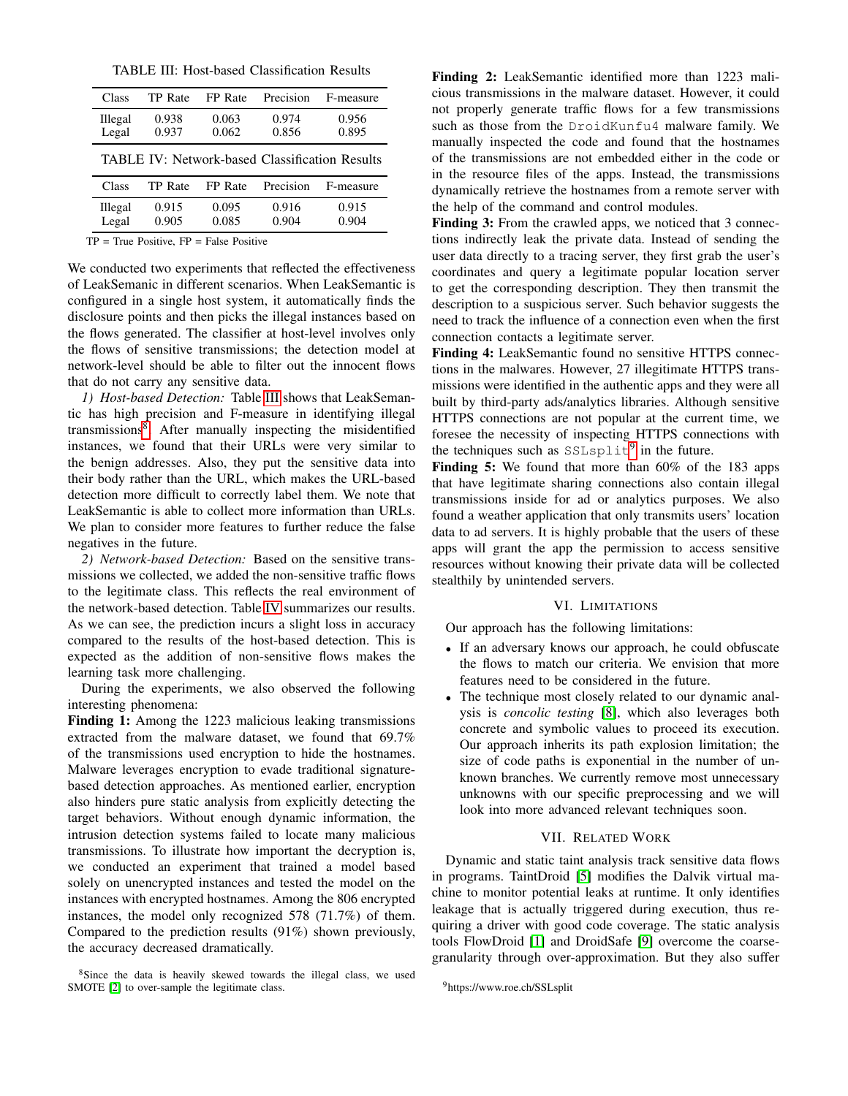TABLE III: Host-based Classification Results

<span id="page-7-4"></span><span id="page-7-2"></span>

| Class                                                 | <b>TP</b> Rate | FP Rate        | Precision      | F-measure      |  |  |  |  |  |
|-------------------------------------------------------|----------------|----------------|----------------|----------------|--|--|--|--|--|
| Illegal<br>Legal                                      | 0.938<br>0.937 | 0.063<br>0.062 | 0.974<br>0.856 | 0.956<br>0.895 |  |  |  |  |  |
| <b>TABLE IV: Network-based Classification Results</b> |                |                |                |                |  |  |  |  |  |
| <b>Class</b>                                          | <b>TP</b> Rate | FP Rate        | Precision      | F-measure      |  |  |  |  |  |
| Illegal                                               | 0.915          | 0.095          | 0.916          | 0.915          |  |  |  |  |  |

Illegal 0.915 0.095 0.916 0.915 Legal 0.905 0.085 0.904 0.904

 $TP = True Positive$ ,  $FP = False Positive$ 

We conducted two experiments that reflected the effectiveness of LeakSemanic in different scenarios. When LeakSemantic is configured in a single host system, it automatically finds the disclosure points and then picks the illegal instances based on the flows generated. The classifier at host-level involves only the flows of sensitive transmissions; the detection model at network-level should be able to filter out the innocent flows that do not carry any sensitive data.

*1) Host-based Detection:* Table [III](#page-7-2) shows that LeakSemantic has high precision and F-measure in identifying illegal transmissions<sup>[8](#page-7-3)</sup>. After manually inspecting the misidentified instances, we found that their URLs were very similar to the benign addresses. Also, they put the sensitive data into their body rather than the URL, which makes the URL-based detection more difficult to correctly label them. We note that LeakSemantic is able to collect more information than URLs. We plan to consider more features to further reduce the false negatives in the future.

*2) Network-based Detection:* Based on the sensitive transmissions we collected, we added the non-sensitive traffic flows to the legitimate class. This reflects the real environment of the network-based detection. Table [IV](#page-7-4) summarizes our results. As we can see, the prediction incurs a slight loss in accuracy compared to the results of the host-based detection. This is expected as the addition of non-sensitive flows makes the learning task more challenging.

During the experiments, we also observed the following interesting phenomena:

Finding 1: Among the 1223 malicious leaking transmissions extracted from the malware dataset, we found that 69.7% of the transmissions used encryption to hide the hostnames. Malware leverages encryption to evade traditional signaturebased detection approaches. As mentioned earlier, encryption also hinders pure static analysis from explicitly detecting the target behaviors. Without enough dynamic information, the intrusion detection systems failed to locate many malicious transmissions. To illustrate how important the decryption is, we conducted an experiment that trained a model based solely on unencrypted instances and tested the model on the instances with encrypted hostnames. Among the 806 encrypted instances, the model only recognized 578 (71.7%) of them. Compared to the prediction results (91%) shown previously, the accuracy decreased dramatically.

Finding 2: LeakSemantic identified more than 1223 malicious transmissions in the malware dataset. However, it could not properly generate traffic flows for a few transmissions such as those from the DroidKunfu4 malware family. We manually inspected the code and found that the hostnames of the transmissions are not embedded either in the code or in the resource files of the apps. Instead, the transmissions dynamically retrieve the hostnames from a remote server with the help of the command and control modules.

Finding 3: From the crawled apps, we noticed that 3 connections indirectly leak the private data. Instead of sending the user data directly to a tracing server, they first grab the user's coordinates and query a legitimate popular location server to get the corresponding description. They then transmit the description to a suspicious server. Such behavior suggests the need to track the influence of a connection even when the first connection contacts a legitimate server.

Finding 4: LeakSemantic found no sensitive HTTPS connections in the malwares. However, 27 illegitimate HTTPS transmissions were identified in the authentic apps and they were all built by third-party ads/analytics libraries. Although sensitive HTTPS connections are not popular at the current time, we foresee the necessity of inspecting HTTPS connections with the techniques such as  $SSLsplit<sup>9</sup>$  $SSLsplit<sup>9</sup>$  $SSLsplit<sup>9</sup>$  in the future.

Finding 5: We found that more than 60% of the 183 apps that have legitimate sharing connections also contain illegal transmissions inside for ad or analytics purposes. We also found a weather application that only transmits users' location data to ad servers. It is highly probable that the users of these apps will grant the app the permission to access sensitive resources without knowing their private data will be collected stealthily by unintended servers.

#### VI. LIMITATIONS

<span id="page-7-0"></span>Our approach has the following limitations:

- If an adversary knows our approach, he could obfuscate the flows to match our criteria. We envision that more features need to be considered in the future.
- The technique most closely related to our dynamic analysis is *concolic testing* [\[8\]](#page-8-23), which also leverages both concrete and symbolic values to proceed its execution. Our approach inherits its path explosion limitation; the size of code paths is exponential in the number of unknown branches. We currently remove most unnecessary unknowns with our specific preprocessing and we will look into more advanced relevant techniques soon.

## VII. RELATED WORK

<span id="page-7-1"></span>Dynamic and static taint analysis track sensitive data flows in programs. TaintDroid [\[5\]](#page-8-12) modifies the Dalvik virtual machine to monitor potential leaks at runtime. It only identifies leakage that is actually triggered during execution, thus requiring a driver with good code coverage. The static analysis tools FlowDroid [\[1\]](#page-8-10) and DroidSafe [\[9\]](#page-8-16) overcome the coarsegranularity through over-approximation. But they also suffer

<span id="page-7-3"></span><sup>&</sup>lt;sup>8</sup>Since the data is heavily skewed towards the illegal class, we used SMOTE [\[2\]](#page-8-22) to over-sample the legitimate class.

<span id="page-7-5"></span><sup>9</sup>https://www.roe.ch/SSLsplit